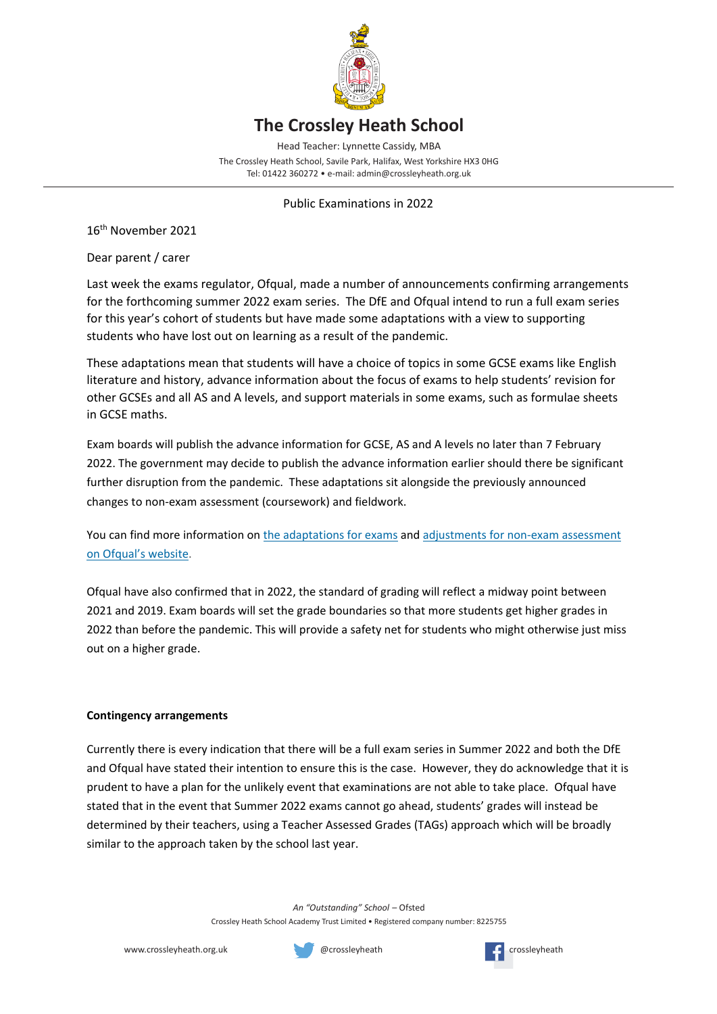

## **The Crossley Heath School**

Head Teacher: Lynnette Cassidy, MBA

The Crossley Heath School, Savile Park, Halifax, West Yorkshire HX3 0HG Tel: 01422 360272 • e-mail: admin@crossleyheath.org.uk

Public Examinations in 2022

16 th November 2021

Dear parent / carer

Last week the exams regulator, Ofqual, made a number of announcements confirming arrangements for the forthcoming summer 2022 exam series. The DfE and Ofqual intend to run a full exam series for this year's cohort of students but have made some adaptations with a view to supporting students who have lost out on learning as a result of the pandemic.

These adaptations mean that students will have a choice of topics in some GCSE exams like English literature and history, advance information about the focus of exams to help students' revision for other GCSEs and all AS and A levels, and support materials in some exams, such as formulae sheets in GCSE maths.

Exam boards will publish the advance information for GCSE, AS and A levels no later than 7 February 2022. The government may decide to publish the advance information earlier should there be significant further disruption from the pandemic. These adaptations sit alongside the previously announced changes to non-exam assessment (coursework) and fieldwork.

You can find more information o[n the adaptations for exams](https://edu13.sprintsend.co.uk/b1/link.php?M=15888391&N=1156&L=1932&F=H) and adjustments for non-exam assessment [on Ofqual's website](https://edu13.sprintsend.co.uk/b1/link.php?M=15888391&N=1156&L=1940&F=H).

Ofqual have also confirmed that in 2022, the standard of grading will reflect a midway point between 2021 and 2019. Exam boards will set the grade boundaries so that more students get higher grades in 2022 than before the pandemic. This will provide a safety net for students who might otherwise just miss out on a higher grade.

## **Contingency arrangements**

Currently there is every indication that there will be a full exam series in Summer 2022 and both the DfE and Ofqual have stated their intention to ensure this is the case. However, they do acknowledge that it is prudent to have a plan for the unlikely event that examinations are not able to take place. Ofqual have stated that in the event that Summer 2022 exams cannot go ahead, students' grades will instead be determined by their teachers, using a Teacher Assessed Grades (TAGs) approach which will be broadly similar to the approach taken by the school last year.

> *An "Outstanding" School* – Ofsted Crossley Heath School Academy Trust Limited • Registered company number: 8225755